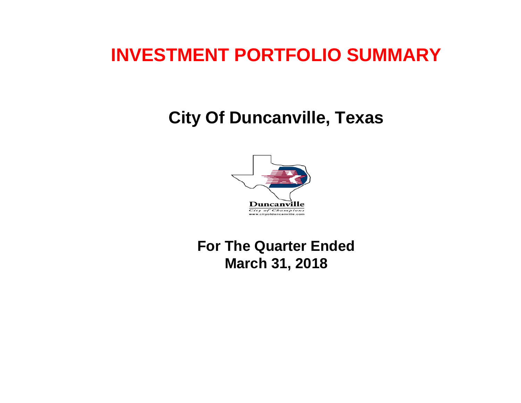# **INVESTMENT PORTFOLIO SUMMARY**

## **City Of Duncanville, Texas**



## **For The Quarter Ended March 31, 2018**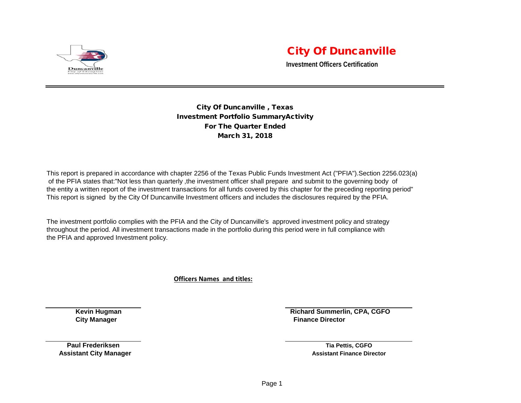

## City Of Duncanville

**Investment Officers Certification**

City Of Duncanville , Texas Investment Portfolio SummaryActivity For The Quarter Ended March 31, 2018

This report is prepared in accordance with chapter 2256 of the Texas Public Funds Investment Act ("PFIA").Section 2256.023(a) of the PFIA states that:"Not less than quarterly ,the investment officer shall prepare and submit to the governing body of the entity a written report of the investment transactions for all funds covered by this chapter for the preceding reporting period" This report is signed by the City Of Duncanville Investment officers and includes the disclosures required by the PFIA.

The investment portfolio complies with the PFIA and the City of Duncanville's approved investment policy and strategy throughout the period. All investment transactions made in the portfolio during this period were in full compliance with the PFIA and approved Investment policy.

**Officers Names and titles:**

**Kevin Hugman Richard Summerlin, CPA, CGFO City Manager Finance Director City Manager Finance Director** 

**Paul Frederiksen Tia Pettis, CGFO Assistant City Manager Assistant Finance Director Assistant Finance Director Assistant Finance Director**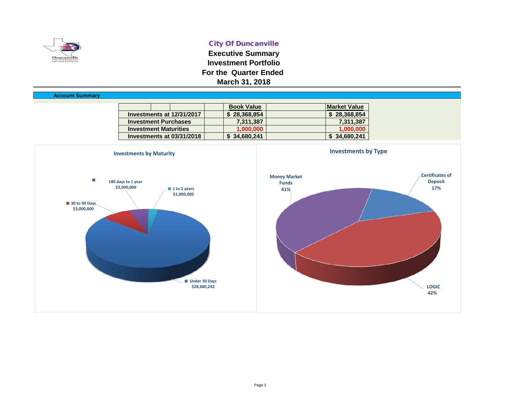

### City Of Duncanville

**Executive Summary Investment Portfolio For the Quarter Ended March 31, 2018**

| <b>Account Summary</b> |                              |                   |                     |
|------------------------|------------------------------|-------------------|---------------------|
|                        |                              | <b>Book Value</b> | <b>Market Value</b> |
|                        | Investments at 12/31/2017    | \$28,368,854      | \$28,368,854        |
|                        | <b>Investment Purchases</b>  | 7,311,387         | 7,311,387           |
|                        | <b>Investment Maturities</b> | 1,000,000         | 1,000,000           |
|                        | Investments at 03/31/2018    | \$34,680,241      | \$34,680,241        |
|                        |                              |                   |                     |

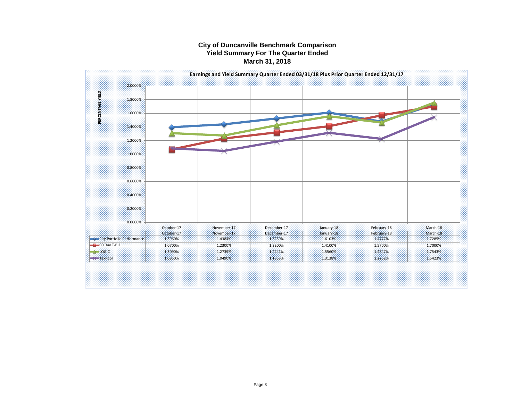#### **City of Duncanville Benchmark Comparison Yield Summary For The Quarter Ended March 31, 2018**

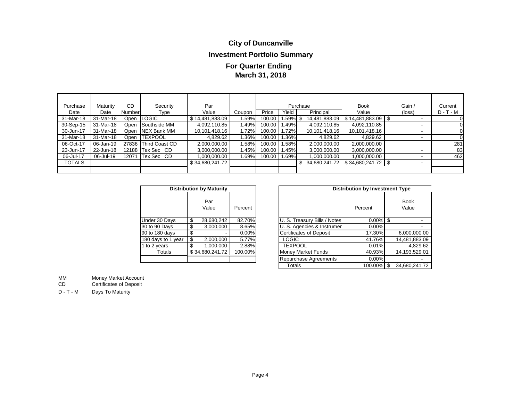## **City of Duncanville**

## **Investment Portfolio Summary**

## **March 31, 2018 For Quarter Ending**

| Purchase  | Maturity  | CD     | Security             | Par             |        |        |          | Purchase      | <b>Book</b>     | Gain /                   | Current     |
|-----------|-----------|--------|----------------------|-----------------|--------|--------|----------|---------------|-----------------|--------------------------|-------------|
| Date      | Date      | Number | Type                 | Value           | Coupon | Price  | Yield    | Principal     | Value           | (loss)                   | $D - T - M$ |
| 31-Mar-18 | 31-Mar-18 |        | Open ILOGIC          | \$14,481,883.09 | 1.59%  | 100.00 | 1.59% \$ | 14,481,883.09 | \$14,481,883.09 | $\overline{\phantom{a}}$ |             |
| 30-Sep-15 | 31-Mar-18 | Open   | Southside MM         | 4,092,110.85    | 1.49%  | 100.00 | 1.49%    | 4,092,110.85  | 4,092,110.85    | -                        |             |
| 30-Jun-17 | 31-Mar-18 | Open   | NEX Bank MM          | 10,101,418.16   | 1.72%  | 100.00 | 1.72%    | 10,101,418.16 | 10,101,418.16   | -                        |             |
| 31-Mar-18 | 31-Mar-18 | Open I | <b>TEXPOOL</b>       | 4,829.62        | 1.36%  | 100.00 | 1.36%    | 4,829.62      | 4,829.62        | $\overline{\phantom{a}}$ |             |
| 06-Oct-17 | 06-Jan-19 |        | 27836 Third Coast CD | 2,000,000.00    | 1.58%  | 100.00 | 1.58%    | 2,000,000.00  | 2,000,000.00    |                          | 281         |
| 23-Jun-17 | 22-Jun-18 |        | 12188 Tex Sec CD     | 3,000,000.00    | 1.45%  | 100.00 | 1.45%    | 3,000,000.00  | 3,000,000.00    |                          | 83          |
| 06-Jul-17 | 06-Jul-19 |        | 12071 Tex Sec CD     | 0.000.000.00    | 1.69%  | 100.00 | 1.69%    | 1,000,000.00  | 1,000,000.00    | $\overline{\phantom{a}}$ | 462         |
| TOTALS    |           |        |                      | \$34,680,241.72 |        |        |          | 34,680,241.72 | \$34,680,241.72 | $\overline{\phantom{a}}$ |             |
|           |           |        |                      |                 |        |        |          |               |                 |                          |             |

| <b>Distribution by Maturity</b> |    |                 |         |  |  |  |  |  |  |  |  |  |
|---------------------------------|----|-----------------|---------|--|--|--|--|--|--|--|--|--|
|                                 |    | Par<br>Value    | Percent |  |  |  |  |  |  |  |  |  |
|                                 |    |                 |         |  |  |  |  |  |  |  |  |  |
| Under 30 Days                   | \$ | 28,680,242      | 82.70%  |  |  |  |  |  |  |  |  |  |
| 30 to 90 Days                   | \$ | 3,000,000       | 8.65%   |  |  |  |  |  |  |  |  |  |
| 90 to 180 days                  | \$ |                 | 0.00%   |  |  |  |  |  |  |  |  |  |
| 180 days to 1 year              | \$ | 2,000,000       | 5.77%   |  |  |  |  |  |  |  |  |  |
| 1 to 2 years                    | \$ | 1.000.000       | 2.88%   |  |  |  |  |  |  |  |  |  |
| Totals                          |    | \$34,680,241.72 | 100.00% |  |  |  |  |  |  |  |  |  |
|                                 |    |                 |         |  |  |  |  |  |  |  |  |  |

|                    |                            | <b>Distribution by Maturity</b> |          |                           |                                | <b>Distribution by Investment Type</b> |                      |
|--------------------|----------------------------|---------------------------------|----------|---------------------------|--------------------------------|----------------------------------------|----------------------|
|                    |                            | Par<br>Value                    | Percent  |                           |                                | Percent                                | <b>Book</b><br>Value |
| Under 30 Days      | \$                         | 28,680,242                      | 82.70%   |                           | U. S. Treasury Bills / Notes   | $0.00\%$                               | \$                   |
| 30 to 90 Days      | \$                         | 3.000.000                       | 8.65%    |                           | U. S. Agencies & Instrumer     | 0.00%                                  |                      |
| 90 to 180 days     | \$                         |                                 | $0.00\%$ |                           | <b>Certificates of Deposit</b> | 17.30%                                 | 6,000,000.00         |
| 180 days to 1 year | \$                         | 2,000,000                       | 5.77%    |                           | LOGIC                          | 41.76%                                 | 14,481,883.09        |
| 1 to 2 years       | \$                         | 1,000,000                       | 2.88%    |                           | <b>TEXPOOL</b>                 | 0.01%                                  | 4,829.62             |
| Totals             | \$34.680.241.72<br>100.00% |                                 |          | <b>Money Market Funds</b> | 40.93%                         | 14,193,529.01                          |                      |
|                    |                            |                                 |          |                           | Repurchase Agreements          | 0.00%                                  |                      |
|                    |                            |                                 | Totals   | 100.00%                   | 34.680.241.72                  |                                        |                      |

MM Money Market Account<br>CD Certificates of Deposit

Certificates of Deposit

D - T - M Days To Maturity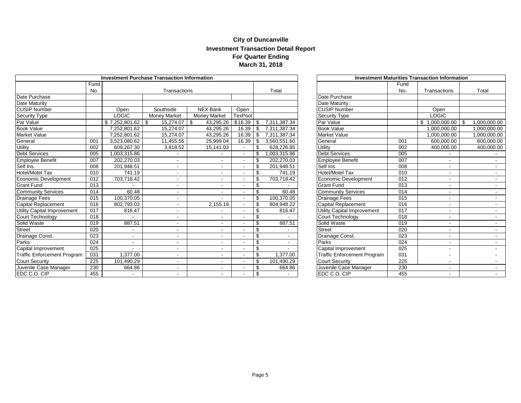### **City of Duncanville Investment Transaction Detail Report For Quarter Ending March 31, 2018**

|                                    | Investment Purchase Transaction Information |                |                          | <b>Investment Maturities Transaction Information</b> |                |                |              |                                    |                  |                     |                |
|------------------------------------|---------------------------------------------|----------------|--------------------------|------------------------------------------------------|----------------|----------------|--------------|------------------------------------|------------------|---------------------|----------------|
|                                    | Fund                                        |                |                          |                                                      |                |                |              |                                    | Fund             |                     |                |
|                                    | No.                                         |                |                          | Transactions                                         |                |                | Total        |                                    | No.              | Transactions        | Total          |
| Date Purchase                      |                                             |                |                          |                                                      |                |                |              | Date Purchase                      |                  |                     |                |
| <b>Date Maturity</b>               |                                             |                |                          |                                                      |                |                |              | Date Maturity                      |                  |                     |                |
| <b>CUSIP Number</b>                |                                             | Open           | Southside                | NEX Bank                                             | Open           |                |              | <b>CUSIP Number</b>                |                  | Open                |                |
| <b>Security Type</b>               |                                             | LOGIC          | Money Market             | <b>Money Market</b>                                  | TexPool        |                |              | <b>Security Type</b>               |                  | <b>LOGIC</b>        |                |
| Par Value                          |                                             |                | 15,274.07                | 43,295.26                                            | \$16.39        | $\mathfrak{S}$ | 7,311,387.34 | Par Value                          |                  | $$1,000,000.00$ \\$ | 1,000,000.00   |
| <b>Book Value</b>                  |                                             | 7.252.801.62   | 15,274.07                | 43,295.26                                            | 16.39          | \$             | 7,311,387.34 | <b>Book Value</b>                  |                  | 1,000,000.00        | 1,000,000.00   |
| <b>Market Value</b>                |                                             | 7,252,801.62   | 15,274.07                | 43,295.26                                            | 16.39          | \$             | 7,311,387.34 | <b>Market Value</b>                |                  | 1,000,000.00        | 1,000,000.00   |
| General                            | 001                                         | 3,523,080.62   | 11,455.55                | 25,999.04                                            | 16.39          | \$             | 3,560,551.60 | General                            | 001              | 600,000.00          | 600,000.00     |
| Utility                            | 002                                         | 609.267.30     | 3,818.52                 | 15,141.03                                            | $\blacksquare$ | \$             | 628,226.85   | Utility                            | 002              | 400,000.00          | 400,000.00     |
| Debt Services                      | 005                                         | 1,003,315.86   |                          |                                                      |                | \$             | 1,003,315.86 | <b>Debt Services</b>               | 005              |                     |                |
| <b>Employee Benefit</b>            | 007                                         | 202.270.03     | $\overline{\phantom{a}}$ |                                                      |                | \$             | 202.270.03   | <b>Employee Benefit</b>            | 007              |                     |                |
| Self Ins.                          | 008                                         | 201,948.51     | $\overline{\phantom{0}}$ |                                                      |                | \$             | 201,948.51   | Self Ins.                          | 008              |                     |                |
| Hotel/Motel Tax                    | 010                                         | 741.19         |                          |                                                      |                | \$             | 741.19       | <b>Hotel/Motel Tax</b>             | 010              |                     | $\sim$         |
| Economic Development               | 012                                         | 703,718.42     | $\overline{\phantom{0}}$ |                                                      |                | \$             | 703,718.42   | <b>Economic Development</b>        | 012              |                     | $\sim$         |
| <b>Grant Fund</b>                  | 013                                         |                |                          |                                                      |                | \$             |              | <b>Grant Fund</b>                  | 013              |                     |                |
| <b>Community Services</b>          | 014                                         | 60.48          |                          |                                                      |                | \$             | 60.48        | <b>Community Services</b>          | 014              |                     | $\sim$         |
| Drainage Fees                      | 015                                         | 100.370.05     | $\overline{\phantom{0}}$ |                                                      |                | -S             | 100.370.05   | Drainage Fees                      | 015              |                     | $\sim$         |
| Capital Replacement                | 016                                         | 802,793.03     | $\overline{\phantom{0}}$ | 2,155.19                                             |                | \$             | 804,948.22   | <b>Capital Replacement</b>         | 016              |                     | $\sim$         |
| <b>Jtility Capital Improvement</b> | 017                                         | 816.47         | $\overline{\phantom{a}}$ |                                                      |                | \$             | 816.47       | <b>Utility Capital Improvement</b> | 017              |                     | $\sim$         |
| Court Technology                   | 018                                         |                | $\blacksquare$           |                                                      |                | \$             |              | Court Technology                   | 018              |                     | $\sim$         |
| Solid Waste                        | 019                                         | 887.51         | $\blacksquare$           |                                                      |                | \$             | 887.51       | Solid Waste                        | 019              |                     | $\blacksquare$ |
| Street                             | 020                                         |                | $\overline{\phantom{a}}$ |                                                      |                | \$             |              | <b>Street</b>                      | 020              |                     | $\sim$         |
| Drainage Const.                    | 023                                         | $\blacksquare$ | $\blacksquare$           |                                                      |                | \$             |              | Drainage Const.                    | 023              |                     | $\sim$         |
| Parks                              | 024                                         | $\blacksquare$ |                          |                                                      |                | \$             |              | Parks                              | 024              |                     |                |
| Capital Improvement                | 025                                         |                | $\overline{\phantom{a}}$ |                                                      |                | \$             |              | Capital Improvement                | $\overline{025}$ |                     |                |
| <b>Traffic Enforcement Program</b> | 031                                         | 1,377.00       | $\overline{\phantom{a}}$ |                                                      |                | \$             | 1,377.00     | <b>Traffic Enforcement Program</b> | 031              |                     |                |
| <b>Court Security</b>              | 225                                         | 101,490.29     | $\blacksquare$           |                                                      |                | \$             | 101,490.29   | <b>Court Security</b>              | 225              |                     |                |
| Juvenile Case Manager              | 230                                         | 664.86         | $\blacksquare$           |                                                      |                |                | 664.86       | Juvenile Case Manager              | 230              |                     |                |
| EDC C.O. CIP                       | 455                                         |                |                          |                                                      |                | \$             |              | EDC C.O. CIP                       | 455              |                     |                |

| <b>Investment Maturities Transaction Information</b> |      |                          |                    |  |  |  |  |  |  |  |  |
|------------------------------------------------------|------|--------------------------|--------------------|--|--|--|--|--|--|--|--|
|                                                      | Fund |                          |                    |  |  |  |  |  |  |  |  |
|                                                      | No.  | Transactions             | Total              |  |  |  |  |  |  |  |  |
| Date Purchase                                        |      |                          |                    |  |  |  |  |  |  |  |  |
| Date Maturity                                        |      |                          |                    |  |  |  |  |  |  |  |  |
| <b>CUSIP Number</b>                                  |      | Open                     |                    |  |  |  |  |  |  |  |  |
| <b>Security Type</b>                                 |      | <b>LOGIC</b>             |                    |  |  |  |  |  |  |  |  |
| Par Value                                            |      | \$<br>1,000,000.00       | \$<br>1,000,000.00 |  |  |  |  |  |  |  |  |
| <b>Book Value</b>                                    |      | 1,000,000.00             | 1,000,000.00       |  |  |  |  |  |  |  |  |
| Market Value                                         |      | 1,000,000.00             | 1,000,000.00       |  |  |  |  |  |  |  |  |
| General                                              | 001  | 600,000.00               | 600,000.00         |  |  |  |  |  |  |  |  |
| Utility                                              | 002  | 400,000.00               | 400,000.00         |  |  |  |  |  |  |  |  |
| <b>Debt Services</b>                                 | 005  |                          |                    |  |  |  |  |  |  |  |  |
| Employee Benefit                                     | 007  |                          |                    |  |  |  |  |  |  |  |  |
| Self Ins.                                            | 008  |                          |                    |  |  |  |  |  |  |  |  |
| Hotel/Motel Tax                                      | 010  |                          |                    |  |  |  |  |  |  |  |  |
| <b>Economic Development</b>                          | 012  |                          |                    |  |  |  |  |  |  |  |  |
| <b>Grant Fund</b>                                    | 013  |                          |                    |  |  |  |  |  |  |  |  |
| <b>Community Services</b>                            | 014  |                          |                    |  |  |  |  |  |  |  |  |
| Drainage Fees                                        | 015  | $\overline{\phantom{0}}$ |                    |  |  |  |  |  |  |  |  |
| Capital Replacement                                  | 016  |                          |                    |  |  |  |  |  |  |  |  |
| Utility Capital Improvement                          | 017  |                          |                    |  |  |  |  |  |  |  |  |
| Court Technology                                     | 018  | $\overline{\phantom{0}}$ |                    |  |  |  |  |  |  |  |  |
| Solid Waste                                          | 019  |                          |                    |  |  |  |  |  |  |  |  |
| <b>Street</b>                                        | 020  | $\blacksquare$           |                    |  |  |  |  |  |  |  |  |
| Drainage Const.                                      | 023  | $\overline{\phantom{0}}$ |                    |  |  |  |  |  |  |  |  |
| Parks                                                | 024  |                          |                    |  |  |  |  |  |  |  |  |
| Capital Improvement                                  | 025  |                          |                    |  |  |  |  |  |  |  |  |
| <b>Traffic Enforcement Program</b>                   | 031  |                          |                    |  |  |  |  |  |  |  |  |
| <b>Court Security</b>                                | 225  |                          |                    |  |  |  |  |  |  |  |  |
| Juvenile Case Manager                                | 230  |                          |                    |  |  |  |  |  |  |  |  |
| EDC C O CIP                                          | 455  |                          |                    |  |  |  |  |  |  |  |  |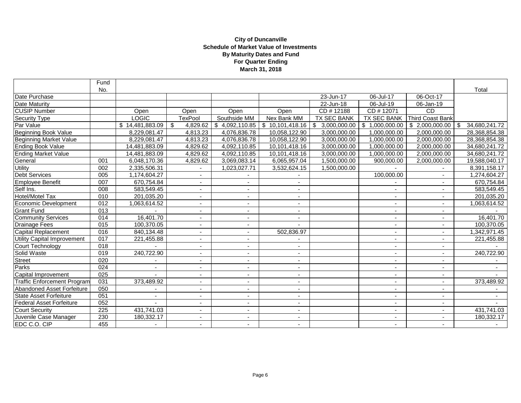#### **March 31, 2018 City of Duncanville Schedule of Market Value of Investments By Maturity Dates and Fund For Quarter Ending**

|                                    | Fund             |                 |                                       |                          |                          |              |                          |                          |                             |
|------------------------------------|------------------|-----------------|---------------------------------------|--------------------------|--------------------------|--------------|--------------------------|--------------------------|-----------------------------|
|                                    | No.              |                 |                                       |                          |                          |              |                          |                          | Total                       |
| Date Purchase                      |                  |                 |                                       |                          |                          | 23-Jun-17    | 06-Jul-17                | 06-Oct-17                |                             |
| Date Maturity                      |                  |                 |                                       |                          |                          | 22-Jun-18    | 06-Jul-19                | 06-Jan-19                |                             |
| <b>CUSIP</b> Number                |                  | Open            | Open                                  | Open                     | Open                     | CD#12188     | CD #12071                | <b>CD</b>                |                             |
| <b>Security Type</b>               |                  | <b>LOGIC</b>    | <b>TexPool</b>                        | Southside MM             | Nex Bank MM              | TX SEC BANK  | <b>TX SEC BANK</b>       | <b>Third Coast Bank</b>  |                             |
| Par Value                          |                  | \$14,481,883.09 | $\boldsymbol{\mathsf{S}}$<br>4,829.62 | \$4,092,110.85           |                          | 3,000,000.00 | \$1,000,000.00           | \$2,000,000.00           | 34,680,241.72<br>$\sqrt{3}$ |
| <b>Beginning Book Value</b>        |                  | 8,229,081.47    | 4,813.23                              | 4,076,836.78             | 10,058,122.90            | 3,000,000.00 | 1,000,000.00             | 2,000,000.00             | 28,368,854.38               |
| Beginning Market Value             |                  | 8,229,081.47    | 4,813.23                              | 4,076,836.78             | 10,058,122.90            | 3,000,000.00 | 1,000,000.00             | 2,000,000.00             | 28,368,854.38               |
| <b>Ending Book Value</b>           |                  | 14,481,883.09   | 4,829.62                              | 4,092,110.85             | 10,101,418.16            | 3,000,000.00 | 1,000,000.00             | 2,000,000.00             | 34,680,241.72               |
| <b>Ending Market Value</b>         |                  | 14,481,883.09   | 4,829.62                              | 4,092,110.85             | 10,101,418.16            | 3,000,000.00 | 1.000.000.00             | 2.000.000.00             | 34,680,241.72               |
| General                            | 001              | 6,048,170.36    | 4,829.62                              | 3,069,083.14             | 6,065,957.04             | 1,500,000.00 | 900,000.00               | 2,000,000.00             | 19,588,040.17               |
| <b>Utility</b>                     | 002              | 2,335,506.31    |                                       | 1,023,027.71             | 3,532,624.15             | 1,500,000.00 |                          |                          | 8,391,158.17                |
| Debt Services                      | 005              | 1,174,604.27    | $\blacksquare$                        |                          |                          |              | 100,000.00               |                          | 1,274,604.27                |
| Employee Benefit                   | 007              | 670,754.84      | $\sim$                                |                          | $\overline{\phantom{a}}$ |              |                          | $\blacksquare$           | 670,754.84                  |
| Self Ins.                          | 008              | 583,549.45      | $\blacksquare$                        |                          | $\overline{\phantom{a}}$ |              | $\blacksquare$           | ٠                        | 583,549.45                  |
| <b>Hotel/Motel Tax</b>             | 010              | 201,035.20      | $\overline{\phantom{a}}$              |                          | $\overline{\phantom{a}}$ |              | $\overline{\phantom{a}}$ |                          | 201,035.20                  |
| Economic Development               | 012              | 1,063,614.52    | $\overline{\phantom{a}}$              |                          | $\overline{\phantom{a}}$ |              | $\overline{\phantom{a}}$ | $\overline{\phantom{a}}$ | 1,063,614.52                |
| <b>Grant Fund</b>                  | 013              |                 | $\overline{\phantom{a}}$              |                          | $\overline{\phantom{a}}$ |              | $\blacksquare$           | ٠                        |                             |
| <b>Community Services</b>          | 014              | 16,401.70       | $\overline{a}$                        |                          |                          |              | $\sim$                   | $\overline{\phantom{a}}$ | 16,401.70                   |
| Drainage Fees                      | 015              | 100,370.05      | $\overline{\phantom{a}}$              |                          |                          |              |                          |                          | 100,370.05                  |
| Capital Replacement                | 016              | 840,134.48      | $\sim$                                | $\sim$                   | 502,836.97               |              | $\sim$                   | $\overline{\phantom{a}}$ | 1,342,971.45                |
| Utility Capital Improvement        | 017              | 221,455.88      | $\blacksquare$                        |                          |                          |              | $\blacksquare$           |                          | 221,455.88                  |
| Court Technology                   | 018              |                 | $\blacksquare$                        |                          | $\overline{\phantom{a}}$ |              | $\blacksquare$           | $\overline{\phantom{a}}$ |                             |
| Solid Waste                        | 019              | 240,722.90      | $\overline{\phantom{a}}$              |                          | $\overline{\phantom{a}}$ |              | $\overline{\phantom{a}}$ |                          | 240,722.90                  |
| <b>Street</b>                      | 020              |                 | $\overline{\phantom{a}}$              | $\overline{\phantom{a}}$ | $\overline{\phantom{a}}$ |              | $\overline{\phantom{a}}$ | $\overline{\phantom{a}}$ |                             |
| Parks                              | 024              |                 | $\blacksquare$                        |                          | $\blacksquare$           |              | $\sim$                   | $\blacksquare$           | $\sim$                      |
| Capital Improvement                | 025              |                 | $\blacksquare$                        |                          |                          |              | $\overline{\phantom{0}}$ |                          |                             |
| <b>Traffic Enforcement Program</b> | 031              | 373,489.92      | $\blacksquare$                        | $\overline{\phantom{a}}$ | $\overline{\phantom{a}}$ |              | $\sim$                   | $\overline{\phantom{a}}$ | 373,489.92                  |
| Abandoned Asset Forfeiture         | 050              |                 | $\blacksquare$                        |                          | $\blacksquare$           |              | $\blacksquare$           | $\sim$                   |                             |
| <b>State Asset Forfeiture</b>      | 051              |                 | $\blacksquare$                        |                          | $\overline{\phantom{a}}$ |              | $\overline{\phantom{a}}$ | $\blacksquare$           |                             |
| <b>Federal Asset Forfeiture</b>    | $\overline{052}$ |                 | $\blacksquare$                        |                          | $\overline{\phantom{a}}$ |              | $\overline{\phantom{a}}$ | ٠                        |                             |
| <b>Court Security</b>              | 225              | 431,741.03      | $\overline{\phantom{a}}$              | $\overline{\phantom{a}}$ | $\overline{\phantom{a}}$ |              | $\sim$                   | $\overline{\phantom{a}}$ | 431,741.03                  |
| Juvenile Case Manager              | 230              | 180,332.17      | $\blacksquare$                        |                          | $\overline{\phantom{a}}$ |              | $\sim$                   | ٠                        | 180,332.17                  |
| EDC C.O. CIP                       | 455              |                 |                                       |                          |                          |              | $\sim$                   |                          |                             |